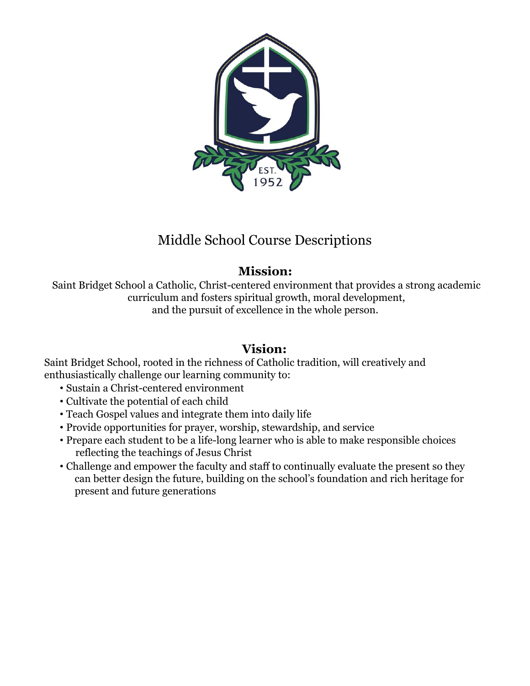

# Middle School Course Descriptions

# **Mission:**

Saint Bridget School a Catholic, Christ-centered environment that provides a strong academic curriculum and fosters spiritual growth, moral development, and the pursuit of excellence in the whole person.

# **Vision:**

Saint Bridget School, rooted in the richness of Catholic tradition, will creatively and enthusiastically challenge our learning community to:

- Sustain a Christ-centered environment
- Cultivate the potential of each child
- Teach Gospel values and integrate them into daily life
- Provide opportunities for prayer, worship, stewardship, and service
- Prepare each student to be a life-long learner who is able to make responsible choices reflecting the teachings of Jesus Christ
- Challenge and empower the faculty and staff to continually evaluate the present so they can better design the future, building on the school's foundation and rich heritage for present and future generations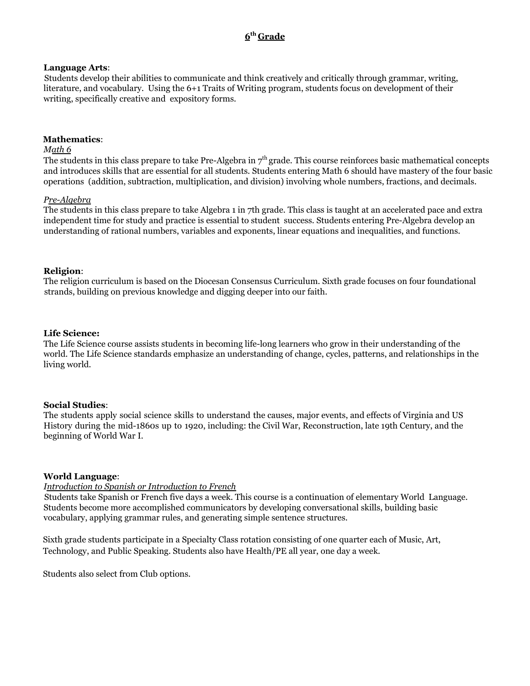# **6 th Grade**

#### **Language Arts**:

Students develop their abilities to communicate and think creatively and critically through grammar, writing, literature, and vocabulary. Using the 6+1 Traits of Writing program, students focus on development of their writing, specifically creative and expository forms.

#### **Mathematics**:

#### *Math 6*

The students in this class prepare to take Pre-Algebra in  $7<sup>th</sup>$  grade. This course reinforces basic mathematical concepts and introduces skills that are essential for all students. Students entering Math 6 should have mastery of the four basic operations (addition, subtraction, multiplication, and division) involving whole numbers, fractions, and decimals.

#### *Pre-Algebra*

The students in this class prepare to take Algebra 1 in 7th grade. This class is taught at an accelerated pace and extra independent time for study and practice is essential to student success. Students entering Pre-Algebra develop an understanding of rational numbers, variables and exponents, linear equations and inequalities, and functions.

#### **Religion**:

The religion curriculum is based on the Diocesan Consensus Curriculum. Sixth grade focuses on four foundational strands, building on previous knowledge and digging deeper into our faith.

#### **Life Science:**

The Life Science course assists students in becoming life-long learners who grow in their understanding of the world. The Life Science standards emphasize an understanding of change, cycles, patterns, and relationships in the living world.

#### **Social Studies**:

The students apply social science skills to understand the causes, major events, and effects of Virginia and US History during the mid-1860s up to 1920, including: the Civil War, Reconstruction, late 19th Century, and the beginning of World War I.

#### **World Language**:

#### *Introduction to Spanish or Introduction to French*

Students take Spanish or French five days a week. This course is a continuation of elementary World Language*.* Students become more accomplished communicators by developing conversational skills, building basic vocabulary, applying grammar rules, and generating simple sentence structures.

Sixth grade students participate in a Specialty Class rotation consisting of one quarter each of Music, Art, Technology, and Public Speaking. Students also have Health/PE all year, one day a week.

Students also select from Club options.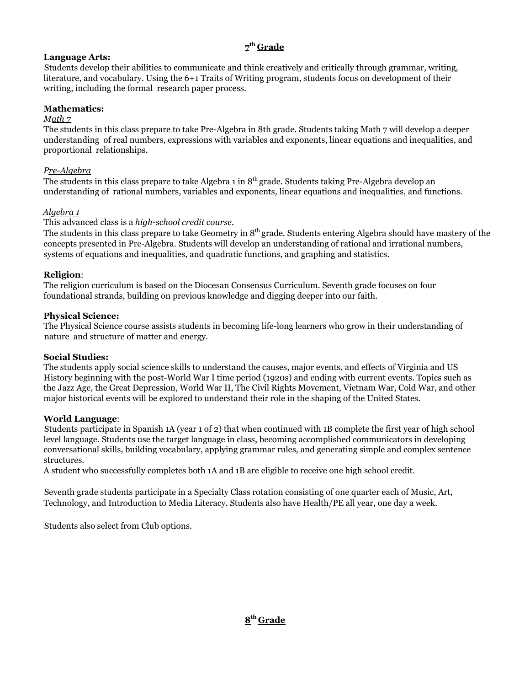# **7 th Grade**

# **Language Arts:**

Students develop their abilities to communicate and think creatively and critically through grammar, writing, literature, and vocabulary. Using the 6+1 Traits of Writing program, students focus on development of their writing, including the formal research paper process.

# **Mathematics:**

### *Math 7*

The students in this class prepare to take Pre-Algebra in 8th grade. Students taking Math 7 will develop a deeper understanding of real numbers, expressions with variables and exponents, linear equations and inequalities, and proportional relationships.

# *Pre-Algebra*

The students in this class prepare to take Algebra 1 in  $8^{\rm th}$  grade. Students taking Pre-Algebra develop an understanding of rational numbers, variables and exponents, linear equations and inequalities, and functions.

# *Algebra 1*

## This advanced class is a *high-school credit course.*

The students in this class prepare to take Geometry in  $8^{\text{th}}$  grade. Students entering Algebra should have mastery of the concepts presented in Pre-Algebra. Students will develop an understanding of rational and irrational numbers, systems of equations and inequalities, and quadratic functions, and graphing and statistics.

## **Religion**:

The religion curriculum is based on the Diocesan Consensus Curriculum. Seventh grade focuses on four foundational strands, building on previous knowledge and digging deeper into our faith.

## **Physical Science:**

The Physical Science course assists students in becoming life-long learners who grow in their understanding of nature and structure of matter and energy.

# **Social Studies:**

The students apply social science skills to understand the causes, major events, and effects of Virginia and US History beginning with the post-World War I time period (1920s) and ending with current events. Topics such as the Jazz Age, the Great Depression, World War II, The Civil Rights Movement, Vietnam War, Cold War, and other major historical events will be explored to understand their role in the shaping of the United States.

#### **World Language**:

Students participate in Spanish 1A (year 1 of 2) that when continued with 1B complete the first year of high school level language. Students use the target language in class, becoming accomplished communicators in developing conversational skills, building vocabulary, applying grammar rules, and generating simple and complex sentence structures.

A student who successfully completes both 1A and 1B are eligible to receive one high school credit.

Seventh grade students participate in a Specialty Class rotation consisting of one quarter each of Music, Art, Technology, and Introduction to Media Literacy. Students also have Health/PE all year, one day a week.

Students also select from Club options.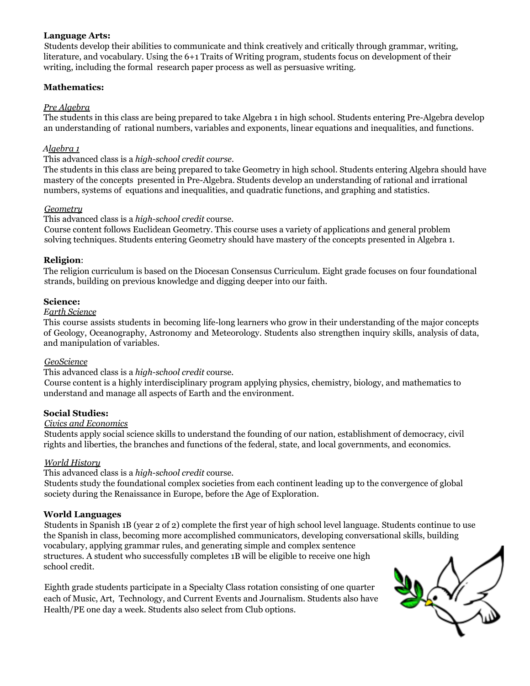### **Language Arts:**

Students develop their abilities to communicate and think creatively and critically through grammar, writing, literature, and vocabulary. Using the 6+1 Traits of Writing program, students focus on development of their writing, including the formal research paper process as well as persuasive writing.

#### **Mathematics:**

## *Pre Algebra*

The students in this class are being prepared to take Algebra 1 in high school. Students entering Pre-Algebra develop an understanding of rational numbers, variables and exponents, linear equations and inequalities, and functions.

### *Algebra 1*

This advanced class is a *high-school credit course.*

The students in this class are being prepared to take Geometry in high school. Students entering Algebra should have mastery of the concepts presented in Pre-Algebra. Students develop an understanding of rational and irrational numbers, systems of equations and inequalities, and quadratic functions, and graphing and statistics.

### *Geometry*

#### This advanced class is a *high-school credit* course.

Course content follows Euclidean Geometry. This course uses a variety of applications and general problem solving techniques. Students entering Geometry should have mastery of the concepts presented in Algebra 1.

## **Religion**:

The religion curriculum is based on the Diocesan Consensus Curriculum. Eight grade focuses on four foundational strands, building on previous knowledge and digging deeper into our faith.

## **Science:**

#### *Earth Science*

This course assists students in becoming life-long learners who grow in their understanding of the major concepts of Geology, Oceanography, Astronomy and Meteorology. Students also strengthen inquiry skills, analysis of data, and manipulation of variables.

#### *GeoScience*

#### This advanced class is a *high-school credit* course.

Course content is a highly interdisciplinary program applying physics, chemistry, biology, and mathematics to understand and manage all aspects of Earth and the environment.

#### **Social Studies:**

#### *Civics and Economics*

Students apply social science skills to understand the founding of our nation, establishment of democracy, civil rights and liberties, the branches and functions of the federal, state, and local governments, and economics.

#### *World History*

This advanced class is a *high-school credit* course.

Students study the foundational complex societies from each continent leading up to the convergence of global society during the Renaissance in Europe, before the Age of Exploration.

# **World Languages**

Students in Spanish 1B (year 2 of 2) complete the first year of high school level language. Students continue to use the Spanish in class, becoming more accomplished communicators, developing conversational skills, building vocabulary, applying grammar rules, and generating simple and complex sentence structures. A student who successfully completes 1B will be eligible to receive one high school credit.

Eighth grade students participate in a Specialty Class rotation consisting of one quarter each of Music, Art, Technology, and Current Events and Journalism. Students also have Health/PE one day a week. Students also select from Club options.